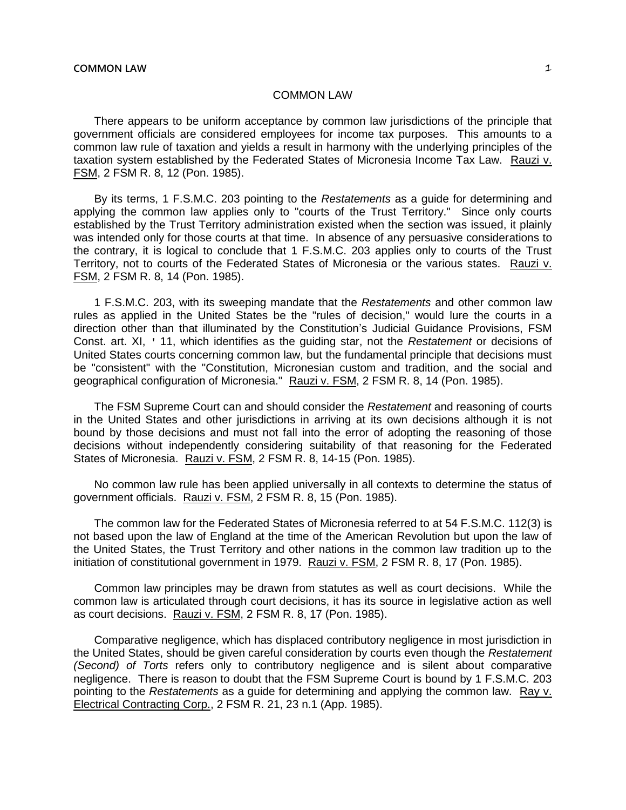There appears to be uniform acceptance by common law jurisdictions of the principle that government officials are considered employees for income tax purposes. This amounts to a common law rule of taxation and yields a result in harmony with the underlying principles of the taxation system established by the Federated States of Micronesia Income Tax Law. Rauzi v. FSM, 2 FSM R. 8, 12 (Pon. 1985).

By its terms, 1 F.S.M.C. 203 pointing to the *Restatements* as a guide for determining and applying the common law applies only to "courts of the Trust Territory." Since only courts established by the Trust Territory administration existed when the section was issued, it plainly was intended only for those courts at that time. In absence of any persuasive considerations to the contrary, it is logical to conclude that 1 F.S.M.C. 203 applies only to courts of the Trust Territory, not to courts of the Federated States of Micronesia or the various states. Rauzi v. FSM, 2 FSM R. 8, 14 (Pon. 1985).

1 F.S.M.C. 203, with its sweeping mandate that the *Restatements* and other common law rules as applied in the United States be the "rules of decision," would lure the courts in a direction other than that illuminated by the Constitution's Judicial Guidance Provisions, FSM Const. art. XI, ' 11, which identifies as the guiding star, not the *Restatement* or decisions of United States courts concerning common law, but the fundamental principle that decisions must be "consistent" with the "Constitution, Micronesian custom and tradition, and the social and geographical configuration of Micronesia." Rauzi v. FSM, 2 FSM R. 8, 14 (Pon. 1985).

The FSM Supreme Court can and should consider the *Restatement* and reasoning of courts in the United States and other jurisdictions in arriving at its own decisions although it is not bound by those decisions and must not fall into the error of adopting the reasoning of those decisions without independently considering suitability of that reasoning for the Federated States of Micronesia. Rauzi v. FSM, 2 FSM R. 8, 14-15 (Pon. 1985).

No common law rule has been applied universally in all contexts to determine the status of government officials. Rauzi v. FSM, 2 FSM R. 8, 15 (Pon. 1985).

The common law for the Federated States of Micronesia referred to at 54 F.S.M.C. 112(3) is not based upon the law of England at the time of the American Revolution but upon the law of the United States, the Trust Territory and other nations in the common law tradition up to the initiation of constitutional government in 1979. Rauzi v. FSM, 2 FSM R. 8, 17 (Pon. 1985).

Common law principles may be drawn from statutes as well as court decisions. While the common law is articulated through court decisions, it has its source in legislative action as well as court decisions. Rauzi v. FSM, 2 FSM R. 8, 17 (Pon. 1985).

Comparative negligence, which has displaced contributory negligence in most jurisdiction in the United States, should be given careful consideration by courts even though the *Restatement (Second) of Torts* refers only to contributory negligence and is silent about comparative negligence. There is reason to doubt that the FSM Supreme Court is bound by 1 F.S.M.C. 203 pointing to the *Restatements* as a guide for determining and applying the common law. Ray v. Electrical Contracting Corp., 2 FSM R. 21, 23 n.1 (App. 1985).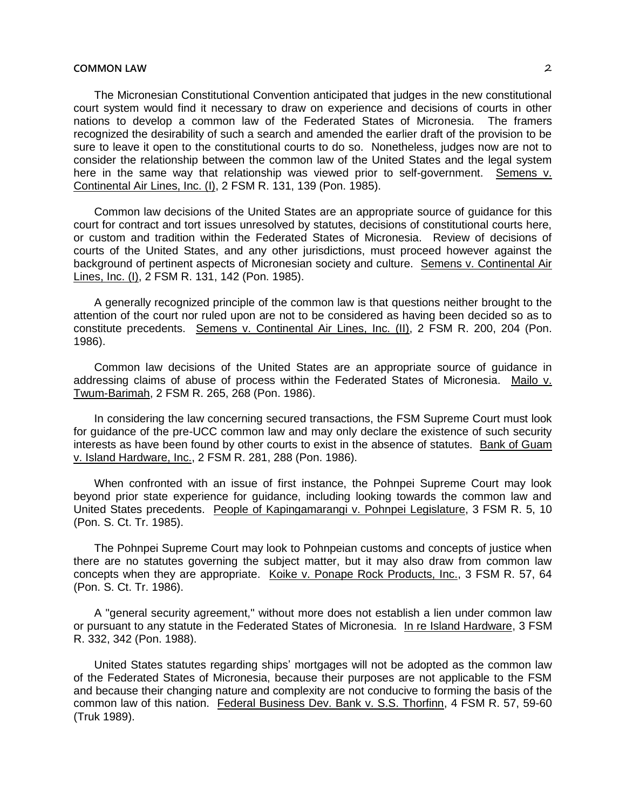The Micronesian Constitutional Convention anticipated that judges in the new constitutional court system would find it necessary to draw on experience and decisions of courts in other nations to develop a common law of the Federated States of Micronesia. The framers recognized the desirability of such a search and amended the earlier draft of the provision to be sure to leave it open to the constitutional courts to do so. Nonetheless, judges now are not to consider the relationship between the common law of the United States and the legal system here in the same way that relationship was viewed prior to self-government. Semens v. Continental Air Lines, Inc. (I), 2 FSM R. 131, 139 (Pon. 1985).

Common law decisions of the United States are an appropriate source of guidance for this court for contract and tort issues unresolved by statutes, decisions of constitutional courts here, or custom and tradition within the Federated States of Micronesia. Review of decisions of courts of the United States, and any other jurisdictions, must proceed however against the background of pertinent aspects of Micronesian society and culture. Semens v. Continental Air Lines, Inc. (I), 2 FSM R. 131, 142 (Pon. 1985).

A generally recognized principle of the common law is that questions neither brought to the attention of the court nor ruled upon are not to be considered as having been decided so as to constitute precedents. Semens v. Continental Air Lines, Inc. (II), 2 FSM R. 200, 204 (Pon. 1986).

Common law decisions of the United States are an appropriate source of guidance in addressing claims of abuse of process within the Federated States of Micronesia. Mailo v. Twum-Barimah, 2 FSM R. 265, 268 (Pon. 1986).

In considering the law concerning secured transactions, the FSM Supreme Court must look for guidance of the pre-UCC common law and may only declare the existence of such security interests as have been found by other courts to exist in the absence of statutes. Bank of Guam v. Island Hardware, Inc., 2 FSM R. 281, 288 (Pon. 1986).

When confronted with an issue of first instance, the Pohnpei Supreme Court may look beyond prior state experience for guidance, including looking towards the common law and United States precedents. People of Kapingamarangi v. Pohnpei Legislature, 3 FSM R. 5, 10 (Pon. S. Ct. Tr. 1985).

The Pohnpei Supreme Court may look to Pohnpeian customs and concepts of justice when there are no statutes governing the subject matter, but it may also draw from common law concepts when they are appropriate. Koike v. Ponape Rock Products, Inc., 3 FSM R. 57, 64 (Pon. S. Ct. Tr. 1986).

A "general security agreement," without more does not establish a lien under common law or pursuant to any statute in the Federated States of Micronesia. In re Island Hardware, 3 FSM R. 332, 342 (Pon. 1988).

United States statutes regarding ships' mortgages will not be adopted as the common law of the Federated States of Micronesia, because their purposes are not applicable to the FSM and because their changing nature and complexity are not conducive to forming the basis of the common law of this nation. Federal Business Dev. Bank v. S.S. Thorfinn, 4 FSM R. 57, 59-60 (Truk 1989).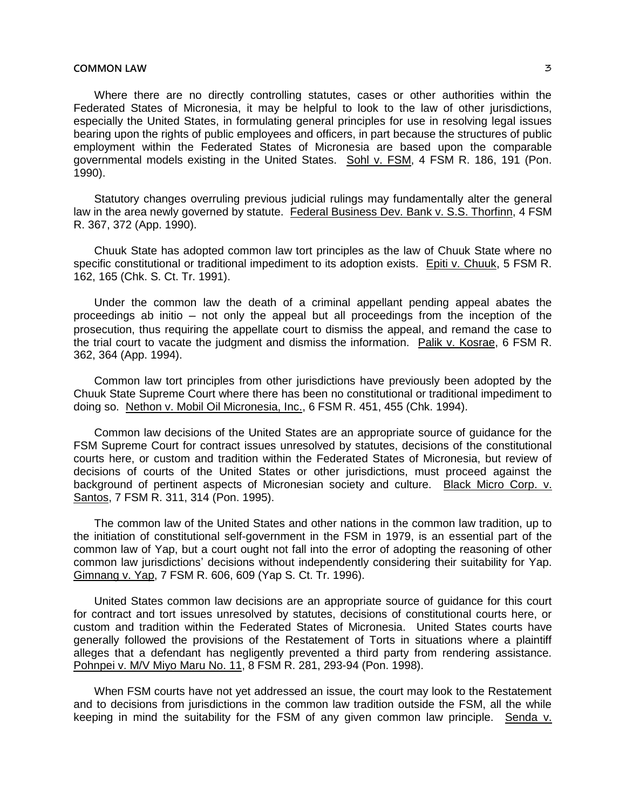Where there are no directly controlling statutes, cases or other authorities within the Federated States of Micronesia, it may be helpful to look to the law of other jurisdictions, especially the United States, in formulating general principles for use in resolving legal issues bearing upon the rights of public employees and officers, in part because the structures of public employment within the Federated States of Micronesia are based upon the comparable governmental models existing in the United States. Sohl v. FSM, 4 FSM R. 186, 191 (Pon. 1990).

Statutory changes overruling previous judicial rulings may fundamentally alter the general law in the area newly governed by statute. Federal Business Dev. Bank v. S.S. Thorfinn, 4 FSM R. 367, 372 (App. 1990).

Chuuk State has adopted common law tort principles as the law of Chuuk State where no specific constitutional or traditional impediment to its adoption exists. Epiti v. Chuuk, 5 FSM R. 162, 165 (Chk. S. Ct. Tr. 1991).

Under the common law the death of a criminal appellant pending appeal abates the proceedings ab initio ─ not only the appeal but all proceedings from the inception of the prosecution, thus requiring the appellate court to dismiss the appeal, and remand the case to the trial court to vacate the judgment and dismiss the information. Palik v. Kosrae, 6 FSM R. 362, 364 (App. 1994).

Common law tort principles from other jurisdictions have previously been adopted by the Chuuk State Supreme Court where there has been no constitutional or traditional impediment to doing so. Nethon v. Mobil Oil Micronesia, Inc., 6 FSM R. 451, 455 (Chk. 1994).

Common law decisions of the United States are an appropriate source of guidance for the FSM Supreme Court for contract issues unresolved by statutes, decisions of the constitutional courts here, or custom and tradition within the Federated States of Micronesia, but review of decisions of courts of the United States or other jurisdictions, must proceed against the background of pertinent aspects of Micronesian society and culture. Black Micro Corp. v. Santos, 7 FSM R. 311, 314 (Pon. 1995).

The common law of the United States and other nations in the common law tradition, up to the initiation of constitutional self-government in the FSM in 1979, is an essential part of the common law of Yap, but a court ought not fall into the error of adopting the reasoning of other common law jurisdictions' decisions without independently considering their suitability for Yap. Gimnang v. Yap, 7 FSM R. 606, 609 (Yap S. Ct. Tr. 1996).

United States common law decisions are an appropriate source of guidance for this court for contract and tort issues unresolved by statutes, decisions of constitutional courts here, or custom and tradition within the Federated States of Micronesia. United States courts have generally followed the provisions of the Restatement of Torts in situations where a plaintiff alleges that a defendant has negligently prevented a third party from rendering assistance. Pohnpei v. M/V Miyo Maru No. 11, 8 FSM R. 281, 293-94 (Pon. 1998).

When FSM courts have not yet addressed an issue, the court may look to the Restatement and to decisions from jurisdictions in the common law tradition outside the FSM, all the while keeping in mind the suitability for the FSM of any given common law principle. Senda v.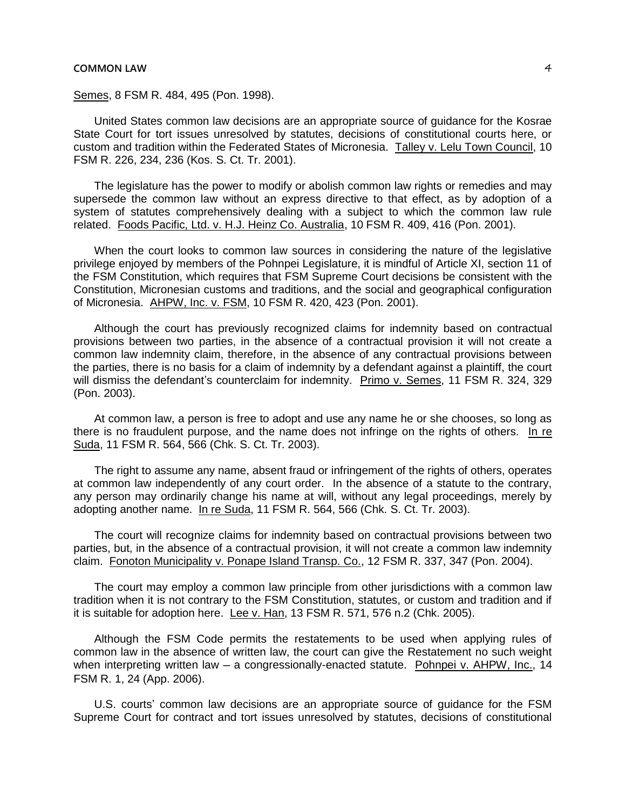Semes, 8 FSM R. 484, 495 (Pon. 1998).

United States common law decisions are an appropriate source of guidance for the Kosrae State Court for tort issues unresolved by statutes, decisions of constitutional courts here, or custom and tradition within the Federated States of Micronesia. Talley v. Lelu Town Council, 10 FSM R. 226, 234, 236 (Kos. S. Ct. Tr. 2001).

The legislature has the power to modify or abolish common law rights or remedies and may supersede the common law without an express directive to that effect, as by adoption of a system of statutes comprehensively dealing with a subject to which the common law rule related. Foods Pacific, Ltd. v. H.J. Heinz Co. Australia, 10 FSM R. 409, 416 (Pon. 2001).

When the court looks to common law sources in considering the nature of the legislative privilege enjoyed by members of the Pohnpei Legislature, it is mindful of Article XI, section 11 of the FSM Constitution, which requires that FSM Supreme Court decisions be consistent with the Constitution, Micronesian customs and traditions, and the social and geographical configuration of Micronesia. AHPW, Inc. v. FSM, 10 FSM R. 420, 423 (Pon. 2001).

Although the court has previously recognized claims for indemnity based on contractual provisions between two parties, in the absence of a contractual provision it will not create a common law indemnity claim, therefore, in the absence of any contractual provisions between the parties, there is no basis for a claim of indemnity by a defendant against a plaintiff, the court will dismiss the defendant's counterclaim for indemnity. Primo v. Semes, 11 FSM R. 324, 329 (Pon. 2003).

At common law, a person is free to adopt and use any name he or she chooses, so long as there is no fraudulent purpose, and the name does not infringe on the rights of others. In re Suda, 11 FSM R. 564, 566 (Chk. S. Ct. Tr. 2003).

The right to assume any name, absent fraud or infringement of the rights of others, operates at common law independently of any court order. In the absence of a statute to the contrary, any person may ordinarily change his name at will, without any legal proceedings, merely by adopting another name. In re Suda, 11 FSM R. 564, 566 (Chk. S. Ct. Tr. 2003).

The court will recognize claims for indemnity based on contractual provisions between two parties, but, in the absence of a contractual provision, it will not create a common law indemnity claim. Fonoton Municipality v. Ponape Island Transp. Co., 12 FSM R. 337, 347 (Pon. 2004).

The court may employ a common law principle from other jurisdictions with a common law tradition when it is not contrary to the FSM Constitution, statutes, or custom and tradition and if it is suitable for adoption here. Lee v. Han, 13 FSM R. 571, 576 n.2 (Chk. 2005).

Although the FSM Code permits the restatements to be used when applying rules of common law in the absence of written law, the court can give the Restatement no such weight when interpreting written law  $-$  a congressionally-enacted statute. Pohnpei v. AHPW, Inc., 14 FSM R. 1, 24 (App. 2006).

U.S. courts' common law decisions are an appropriate source of guidance for the FSM Supreme Court for contract and tort issues unresolved by statutes, decisions of constitutional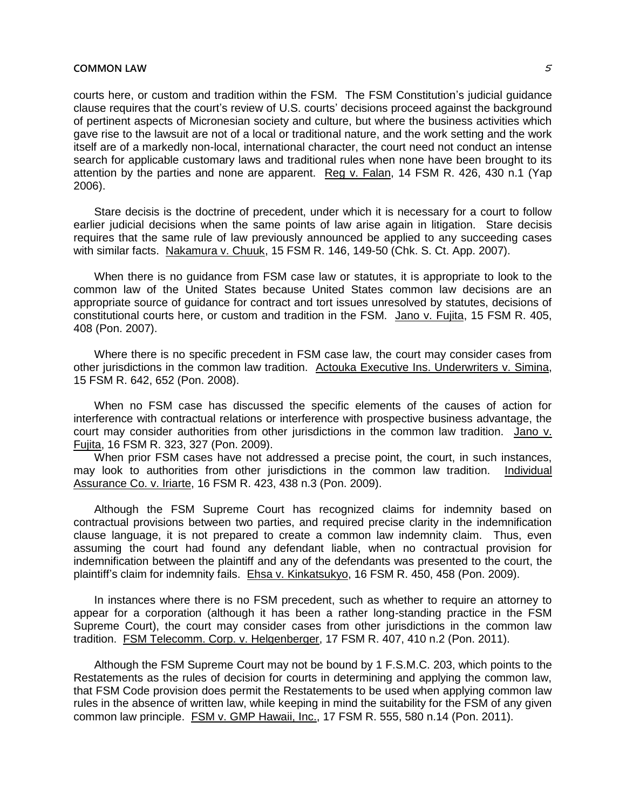courts here, or custom and tradition within the FSM. The FSM Constitution's judicial guidance clause requires that the court's review of U.S. courts' decisions proceed against the background of pertinent aspects of Micronesian society and culture, but where the business activities which gave rise to the lawsuit are not of a local or traditional nature, and the work setting and the work itself are of a markedly non-local, international character, the court need not conduct an intense search for applicable customary laws and traditional rules when none have been brought to its attention by the parties and none are apparent. Reg v. Falan, 14 FSM R. 426, 430 n.1 (Yap 2006).

Stare decisis is the doctrine of precedent, under which it is necessary for a court to follow earlier judicial decisions when the same points of law arise again in litigation. Stare decisis requires that the same rule of law previously announced be applied to any succeeding cases with similar facts. Nakamura v. Chuuk, 15 FSM R. 146, 149-50 (Chk. S. Ct. App. 2007).

When there is no guidance from FSM case law or statutes, it is appropriate to look to the common law of the United States because United States common law decisions are an appropriate source of guidance for contract and tort issues unresolved by statutes, decisions of constitutional courts here, or custom and tradition in the FSM. Jano v. Fujita, 15 FSM R. 405, 408 (Pon. 2007).

Where there is no specific precedent in FSM case law, the court may consider cases from other jurisdictions in the common law tradition. Actouka Executive Ins. Underwriters v. Simina, 15 FSM R. 642, 652 (Pon. 2008).

When no FSM case has discussed the specific elements of the causes of action for interference with contractual relations or interference with prospective business advantage, the court may consider authorities from other jurisdictions in the common law tradition. Jano v. Fujita, 16 FSM R. 323, 327 (Pon. 2009).

When prior FSM cases have not addressed a precise point, the court, in such instances, may look to authorities from other jurisdictions in the common law tradition. Individual Assurance Co. v. Iriarte, 16 FSM R. 423, 438 n.3 (Pon. 2009).

Although the FSM Supreme Court has recognized claims for indemnity based on contractual provisions between two parties, and required precise clarity in the indemnification clause language, it is not prepared to create a common law indemnity claim. Thus, even assuming the court had found any defendant liable, when no contractual provision for indemnification between the plaintiff and any of the defendants was presented to the court, the plaintiff's claim for indemnity fails. Ehsa v. Kinkatsukyo, 16 FSM R. 450, 458 (Pon. 2009).

In instances where there is no FSM precedent, such as whether to require an attorney to appear for a corporation (although it has been a rather long-standing practice in the FSM Supreme Court), the court may consider cases from other jurisdictions in the common law tradition. FSM Telecomm. Corp. v. Helgenberger, 17 FSM R. 407, 410 n.2 (Pon. 2011).

Although the FSM Supreme Court may not be bound by 1 F.S.M.C. 203, which points to the Restatements as the rules of decision for courts in determining and applying the common law, that FSM Code provision does permit the Restatements to be used when applying common law rules in the absence of written law, while keeping in mind the suitability for the FSM of any given common law principle. FSM v. GMP Hawaii, Inc., 17 FSM R. 555, 580 n.14 (Pon. 2011).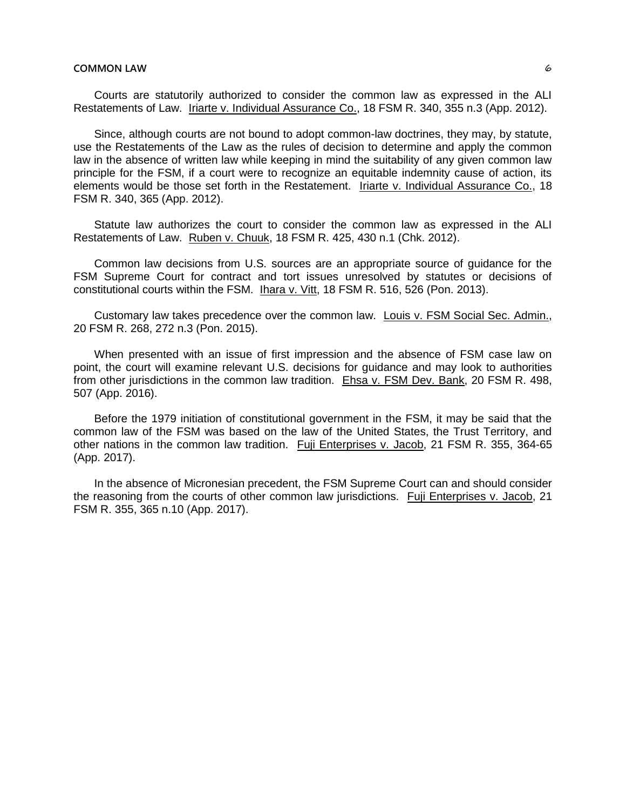Courts are statutorily authorized to consider the common law as expressed in the ALI Restatements of Law. Iriarte v. Individual Assurance Co., 18 FSM R. 340, 355 n.3 (App. 2012).

Since, although courts are not bound to adopt common-law doctrines, they may, by statute, use the Restatements of the Law as the rules of decision to determine and apply the common law in the absence of written law while keeping in mind the suitability of any given common law principle for the FSM, if a court were to recognize an equitable indemnity cause of action, its elements would be those set forth in the Restatement. Iriarte v. Individual Assurance Co., 18 FSM R. 340, 365 (App. 2012).

Statute law authorizes the court to consider the common law as expressed in the ALI Restatements of Law. Ruben v. Chuuk, 18 FSM R. 425, 430 n.1 (Chk. 2012).

Common law decisions from U.S. sources are an appropriate source of guidance for the FSM Supreme Court for contract and tort issues unresolved by statutes or decisions of constitutional courts within the FSM. Ihara v. Vitt, 18 FSM R. 516, 526 (Pon. 2013).

Customary law takes precedence over the common law. Louis v. FSM Social Sec. Admin., 20 FSM R. 268, 272 n.3 (Pon. 2015).

When presented with an issue of first impression and the absence of FSM case law on point, the court will examine relevant U.S. decisions for guidance and may look to authorities from other jurisdictions in the common law tradition. Ehsa v. FSM Dev. Bank, 20 FSM R. 498, 507 (App. 2016).

Before the 1979 initiation of constitutional government in the FSM, it may be said that the common law of the FSM was based on the law of the United States, the Trust Territory, and other nations in the common law tradition. Fuji Enterprises v. Jacob, 21 FSM R. 355, 364-65 (App. 2017).

In the absence of Micronesian precedent, the FSM Supreme Court can and should consider the reasoning from the courts of other common law jurisdictions. Fuji Enterprises v. Jacob, 21 FSM R. 355, 365 n.10 (App. 2017).